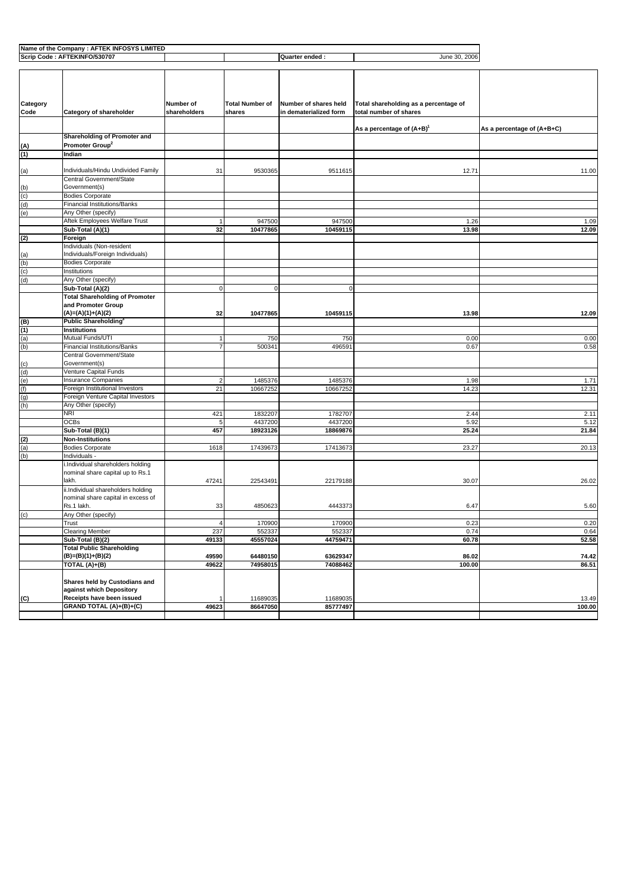| Name of the Company : AFTEK INFOSYS LIMITED                      |                                          |                         |                        |                        |                                       |                            |
|------------------------------------------------------------------|------------------------------------------|-------------------------|------------------------|------------------------|---------------------------------------|----------------------------|
| Scrip Code: AFTEKINFO/530707<br>Quarter ended :<br>June 30, 2006 |                                          |                         |                        |                        |                                       |                            |
|                                                                  |                                          |                         |                        |                        |                                       |                            |
|                                                                  |                                          |                         |                        |                        |                                       |                            |
|                                                                  |                                          |                         |                        |                        |                                       |                            |
|                                                                  |                                          |                         |                        |                        |                                       |                            |
|                                                                  |                                          |                         |                        |                        |                                       |                            |
| Category                                                         |                                          | Number of               | <b>Total Number of</b> | Number of shares held  | Total shareholding as a percentage of |                            |
| Code                                                             | Category of shareholder                  | shareholders            | shares                 | in dematerialized form | total number of shares                |                            |
|                                                                  |                                          |                         |                        |                        |                                       |                            |
|                                                                  |                                          |                         |                        |                        | As a percentage of $(A+B)^{1}$        | As a percentage of (A+B+C) |
|                                                                  | Shareholding of Promoter and             |                         |                        |                        |                                       |                            |
| (A)                                                              | Promoter Group <sup>2</sup>              |                         |                        |                        |                                       |                            |
| (1)                                                              | Indian                                   |                         |                        |                        |                                       |                            |
|                                                                  |                                          |                         |                        |                        |                                       |                            |
| (a)                                                              | Individuals/Hindu Undivided Family       | 31                      | 9530365                | 9511615                | 12.71                                 | 11.00                      |
|                                                                  | Central Government/State                 |                         |                        |                        |                                       |                            |
|                                                                  | Government(s)                            |                         |                        |                        |                                       |                            |
| $\frac{(b)}{(c)}$                                                | <b>Bodies Corporate</b>                  |                         |                        |                        |                                       |                            |
| (d)                                                              | Financial Institutions/Banks             |                         |                        |                        |                                       |                            |
| (e)                                                              | Any Other (specify)                      |                         |                        |                        |                                       |                            |
|                                                                  | Aftek Employees Welfare Trust            | 1                       | 947500                 | 947500                 | 1.26                                  | 1.09                       |
|                                                                  | Sub-Total (A)(1)                         | 32                      | 10477865               | 10459115               | 13.98                                 | 12.09                      |
| (2)                                                              | Foreign                                  |                         |                        |                        |                                       |                            |
|                                                                  | Individuals (Non-resident                |                         |                        |                        |                                       |                            |
|                                                                  | Individuals/Foreign Individuals)         |                         |                        |                        |                                       |                            |
| $\frac{a}{b}$                                                    | <b>Bodies Corporate</b>                  |                         |                        |                        |                                       |                            |
| (c)                                                              | Institutions                             |                         |                        |                        |                                       |                            |
| (d)                                                              | Any Other (specify)                      |                         |                        |                        |                                       |                            |
|                                                                  | Sub-Total (A)(2)                         | $\mathbf 0$             | $\mathbf 0$            | $\mathbf{0}$           |                                       |                            |
|                                                                  | <b>Total Shareholding of Promoter</b>    |                         |                        |                        |                                       |                            |
|                                                                  | and Promoter Group                       |                         |                        |                        |                                       |                            |
|                                                                  |                                          |                         |                        | 10459115               | 13.98                                 |                            |
|                                                                  | (A)=(A)(1)+(A)(2)<br>Public Shareholding | 32                      | 10477865               |                        |                                       | 12.09                      |
| (B)                                                              |                                          |                         |                        |                        |                                       |                            |
| $\frac{(1)}{(a)}$                                                | <b>Institutions</b>                      |                         |                        |                        |                                       |                            |
|                                                                  | Mutual Funds/UTI                         | 1                       | 750                    | 750                    | 0.00                                  | 0.00                       |
| (b)                                                              | <b>Financial Institutions/Banks</b>      |                         | 500341                 | 496591                 | 0.67                                  | 0.58                       |
|                                                                  | Central Government/State                 |                         |                        |                        |                                       |                            |
| $\frac{c}{d}$                                                    | Government(s)                            |                         |                        |                        |                                       |                            |
|                                                                  | Venture Capital Funds                    |                         |                        |                        |                                       |                            |
| $(e)$<br>(f)                                                     | <b>Insurance Companies</b>               | $\overline{\mathbf{c}}$ | 1485376                | 1485376                | 1.98                                  | 1.71                       |
|                                                                  | Foreign Institutional Investors          | 21                      | 10667252               | 10667252               | 14.23                                 | 12.31                      |
| (g)                                                              | Foreign Venture Capital Investors        |                         |                        |                        |                                       |                            |
| (h)                                                              | Any Other (specify)                      |                         |                        |                        |                                       |                            |
|                                                                  | NRI                                      | 421                     | 1832207                | 1782707                | 2.44                                  | 2.11                       |
|                                                                  | <b>OCBs</b>                              | 5                       | 4437200                | 4437200                | 5.92                                  | 5.12                       |
|                                                                  | Sub-Total (B)(1)                         | 457                     | 18923126               | 18869876               | 25.24                                 | 21.84                      |
| $\frac{2}{2}$                                                    | <b>Non-Institutions</b>                  |                         |                        |                        |                                       |                            |
|                                                                  | <b>Bodies Corporate</b>                  | 1618                    | 17439673               | 17413673               | 23.27                                 | 20.13                      |
| (b)                                                              | Individuals -                            |                         |                        |                        |                                       |                            |
|                                                                  | i.Individual shareholders holding        |                         |                        |                        |                                       |                            |
|                                                                  | nominal share capital up to Rs.1         |                         |                        |                        |                                       |                            |
|                                                                  | lakh.                                    | 47241                   | 22543491               | 22179188               | 30.07                                 | 26.02                      |
|                                                                  | ii.Individual shareholders holding       |                         |                        |                        |                                       |                            |
|                                                                  | nominal share capital in excess of       |                         |                        |                        |                                       |                            |
|                                                                  | Rs.1 lakh.                               | 33                      | 4850623                | 4443373                | 6.47                                  | 5.60                       |
| (c)                                                              | Any Other (specify)                      |                         |                        |                        |                                       |                            |
|                                                                  | Trust                                    | 4                       | 170900                 | 170900                 | 0.23                                  | 0.20                       |
|                                                                  | <b>Clearing Member</b>                   | 237                     | 552337                 | 552337                 | 0.74                                  | 0.64                       |
|                                                                  | Sub-Total (B)(2)                         | 49133                   | 45557024               | 44759471               | 60.78                                 | 52.58                      |
|                                                                  | <b>Total Public Shareholding</b>         |                         |                        |                        |                                       |                            |
|                                                                  |                                          |                         |                        |                        |                                       |                            |
|                                                                  | (B)=(B)(1)+(B)(2)                        | 49590                   | 64480150               | 63629347               | 86.02                                 | 74.42                      |
|                                                                  | TOTAL (A)+(B)                            | 49622                   | 74958015               | 74088462               | 100.00                                | 86.51                      |
|                                                                  |                                          |                         |                        |                        |                                       |                            |
|                                                                  | Shares held by Custodians and            |                         |                        |                        |                                       |                            |
|                                                                  | against which Depository                 |                         |                        |                        |                                       |                            |
| (C)                                                              | Receipts have been issued                |                         | 11689035               | 11689035               |                                       | 13.49                      |
|                                                                  | GRAND TOTAL (A)+(B)+(C)                  | 49623                   | 86647050               | 85777497               |                                       | 100.00                     |
|                                                                  |                                          |                         |                        |                        |                                       |                            |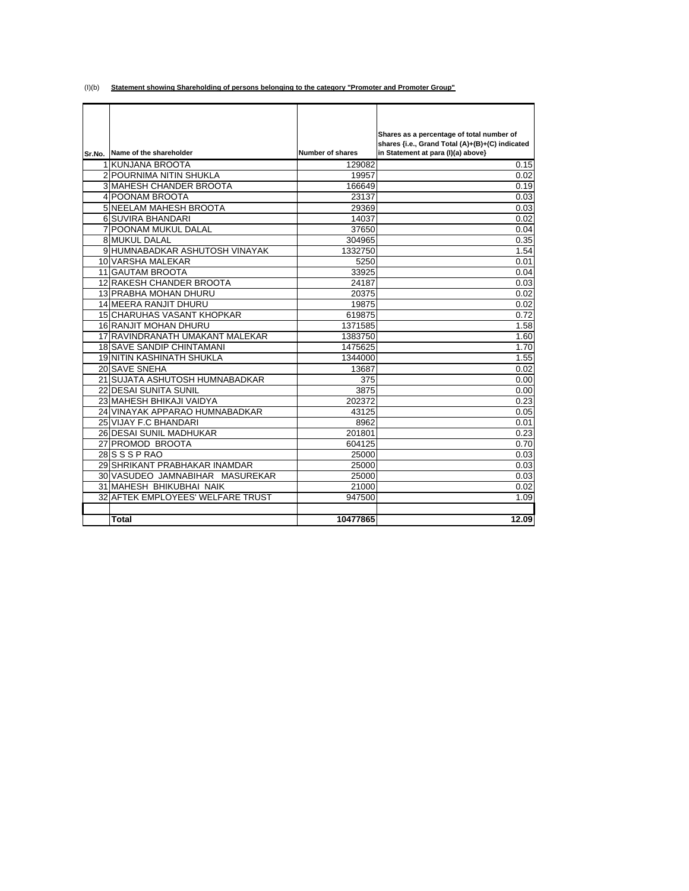(I)(b) **Statement showing Shareholding of persons belonging to the category "Promoter and Promoter Group"**

|        |                                   |                  | Shares as a percentage of total number of       |
|--------|-----------------------------------|------------------|-------------------------------------------------|
|        |                                   |                  | shares {i.e., Grand Total (A)+(B)+(C) indicated |
| Sr.No. | Name of the shareholder           | Number of shares | in Statement at para (I)(a) above}              |
|        | 1 KUNJANA BROOTA                  | 129082           | 0.15                                            |
|        | <b>2 POURNIMA NITIN SHUKLA</b>    | 19957            | 0.02                                            |
|        | <b>3 MAHESH CHANDER BROOTA</b>    | 166649           | 0.19                                            |
|        | 4 POONAM BROOTA                   | 23137            | 0.03                                            |
|        | 5 NEELAM MAHESH BROOTA            | 29369            | 0.03                                            |
|        | 6 SUVIRA BHANDARI                 | 14037            | 0.02                                            |
|        | <b>7 POONAM MUKUL DALAL</b>       | 37650            | 0.04                                            |
|        | <b>8 MUKUL DALAL</b>              | 304965           | 0.35                                            |
|        | 9 HUMNABADKAR ASHUTOSH VINAYAK    | 1332750          | 1.54                                            |
|        | 10 VARSHA MALEKAR                 | 5250             | 0.01                                            |
|        | <b>11 GAUTAM BROOTA</b>           | 33925            | 0.04                                            |
|        | 12 RAKESH CHANDER BROOTA          | 24187            | 0.03                                            |
|        | 13 PRABHA MOHAN DHURU             | 20375            | 0.02                                            |
|        | 14 MEERA RANJIT DHURU             | 19875            | 0.02                                            |
|        | <b>15 CHARUHAS VASANT KHOPKAR</b> | 619875           | 0.72                                            |
|        | <b>16 RANJIT MOHAN DHURU</b>      | 1371585          | 1.58                                            |
|        | 17 RAVINDRANATH UMAKANT MALEKAR   | 1383750          | 1.60                                            |
|        | <b>18 SAVE SANDIP CHINTAMANI</b>  | 1475625          | 1.70                                            |
|        | <b>19 NITIN KASHINATH SHUKLA</b>  | 1344000          | 1.55                                            |
|        | 20 SAVE SNEHA                     | 13687            | 0.02                                            |
|        | 21 SUJATA ASHUTOSH HUMNABADKAR    | 375              | 0.00                                            |
|        | <b>22 DESAI SUNITA SUNIL</b>      | 3875             | 0.00                                            |
|        | 23 MAHESH BHIKAJI VAIDYA          | 202372           | 0.23                                            |
|        | 24 VINAYAK APPARAO HUMNABADKAR    | 43125            | 0.05                                            |
|        | 25 VIJAY F.C BHANDARI             | 8962             | 0.01                                            |
|        | 26 DESAI SUNIL MADHUKAR           | 201801           | 0.23                                            |
|        | 27 PROMOD BROOTA                  | 604125           | 0.70                                            |
|        | 28 S S P RAO                      | 25000            | 0.03                                            |
|        | 29 SHRIKANT PRABHAKAR INAMDAR     | 25000            | 0.03                                            |
|        | 30 VASUDEO JAMNABIHAR MASUREKAR   | 25000            | 0.03                                            |
|        | 31 MAHESH BHIKUBHAI NAIK          | 21000            | 0.02                                            |
|        | 32 AFTEK EMPLOYEES' WELFARE TRUST | 947500           | 1.09                                            |
|        |                                   |                  |                                                 |
|        | <b>Total</b>                      | 10477865         | 12.09                                           |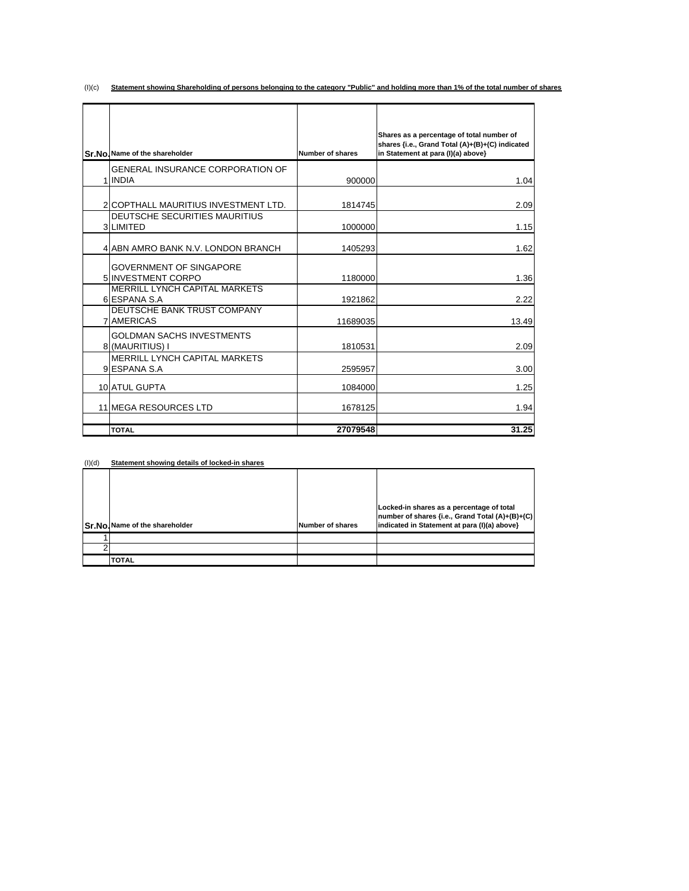(I)(c) **Statement showing Shareholding of persons belonging to the category "Public" and holding more than 1% of the total number of shares**

|                                                      |                         | Shares as a percentage of total number of<br>shares {i.e., Grand Total (A)+(B)+(C) indicated |
|------------------------------------------------------|-------------------------|----------------------------------------------------------------------------------------------|
| Sr.No. Name of the shareholder                       | <b>Number of shares</b> | in Statement at para (I)(a) above}                                                           |
| <b>GENERAL INSURANCE CORPORATION OF</b><br>1 INDIA   | 900000                  | 1.04                                                                                         |
| 2 COPTHALL MAURITIUS INVESTMENT LTD.                 | 1814745                 | 2.09                                                                                         |
| DEUTSCHE SECURITIES MAURITIUS<br>3 LIMITED           | 1000000                 | 1.15                                                                                         |
| 4 ABN AMRO BANK N.V. LONDON BRANCH                   | 1405293                 | 1.62                                                                                         |
| <b>GOVERNMENT OF SINGAPORE</b><br>5 INVESTMENT CORPO | 1180000                 | 1.36                                                                                         |
| <b>MERRILL LYNCH CAPITAL MARKETS</b><br>6 ESPANA S.A | 1921862                 | 2.22                                                                                         |
| DEUTSCHE BANK TRUST COMPANY<br>7 AMERICAS            | 11689035                | 13.49                                                                                        |
| <b>GOLDMAN SACHS INVESTMENTS</b><br>8 (MAURITIUS) I  | 1810531                 | 2.09                                                                                         |
| <b>MERRILL LYNCH CAPITAL MARKETS</b><br>9 ESPANA S.A | 2595957                 | 3.00                                                                                         |
| 10 ATUL GUPTA                                        | 1084000                 | 1.25                                                                                         |
| 11 MEGA RESOURCES LTD                                | 1678125                 | 1.94                                                                                         |
| <b>TOTAL</b>                                         | 27079548                | 31.25                                                                                        |

| (l)(d) | Statement showing details of locked-in shares |                  |                                                                                                                                               |  |  |
|--------|-----------------------------------------------|------------------|-----------------------------------------------------------------------------------------------------------------------------------------------|--|--|
|        | Sr.No. Name of the shareholder                | Number of shares | Locked-in shares as a percentage of total<br>number of shares {i.e., Grand Total (A)+(B)+(C) <br>indicated in Statement at para (I)(a) above} |  |  |
|        |                                               |                  |                                                                                                                                               |  |  |
|        |                                               |                  |                                                                                                                                               |  |  |
|        | <b>TOTAL</b>                                  |                  |                                                                                                                                               |  |  |